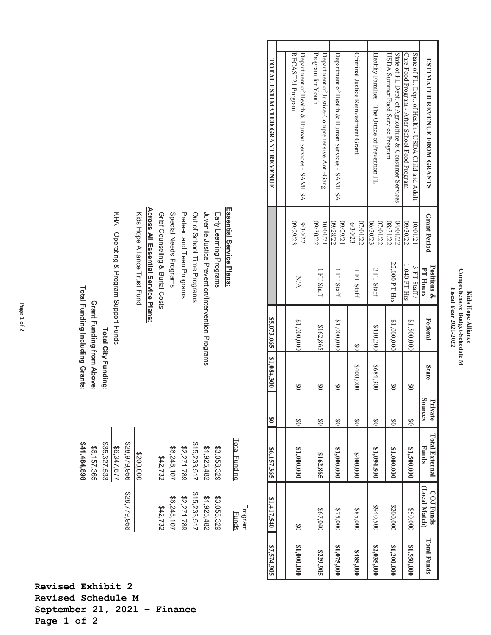## Kids Hope Alliance<br>Comprehensive Budget-Schedule M<br>Fiscal Year 2021-2022 **Comprehensive Budget-Schedule M Fiscal Year 2021-2022 Kids Hope Alliance**

| \$7,574,905        | \$1,417,540                | 86,157,365                     | $\infty$           | \$5003,0051,084,300 |                |                              |                      | TOTAL ESTIMATED GRANT REVENUE                                                                        |
|--------------------|----------------------------|--------------------------------|--------------------|---------------------|----------------|------------------------------|----------------------|------------------------------------------------------------------------------------------------------|
|                    |                            |                                |                    |                     |                |                              |                      |                                                                                                      |
| \$1,000,000        | $\frac{8}{20}$             | \$1,000,000                    | $\infty$           | $\infty$            | \$1,000,000    | <b>N/A</b>                   | 09/29/23<br>9/30/22  | RECAST21 Program<br>Department of Health & Human Services - SANHSA                                   |
| \$229,905          | \$67,040                   | \$162,865                      | $\infty$           | $\frac{8}{2}$       | \$162,865      | FT Staff                     | 09/30/22<br>10/01/21 | Program for Youth<br>Department of Justice-Comprehensive Anti-Gang                                   |
| \$1,075,000        | \$75,000                   | 81,000,000                     | $\frac{8}{20}$     | $\infty$            | \$1,000,000    | FT Staff                     | 09/28/22<br>12/67/20 | Department of Health & Human Services - SAMHSA                                                       |
| \$485,000          | \$85,000                   | \$400,000                      | 80                 | \$400,000           | $\frac{8}{20}$ | I FT Staff                   | 07/01/22<br>6/30/23  | Criminal Justice Reinvestment Grant                                                                  |
| \$2,035,000        | \$940,500                  | \$1,094,500                    | 80                 | \$684,300           | \$410,200      | 2 FT Staff                   | 06/30/23<br>07/01/22 | Healthy Families - The Ounce of Prevention FL                                                        |
| \$1,200,000        | \$200,000                  | 81,000,000                     | $\infty$           | $\frac{8}{2}$       | \$1,000,000    | 22,000 PT Hrs                | 08/31/22<br>04/01/22 | State of FL Dept. of Agriculture & Consumer Services<br>USDA Summer Food Service Program             |
| \$1,550,000        | \$50,000                   | \$1,500,000                    | $\infty$           | $\infty$            | \$1,500,000    | $1.040$ PT Hrs<br>3 FT Staff | 09/30/22<br>10/01/21 | State of FL. Dept. of Health - USDA Child and Adult<br>Care Food Program - After School Food Program |
| <b>Total Funds</b> | [Local Match]<br>COJ Funds | <b>Total External</b><br>Funds | Sources<br>Private | <b>State</b>        | Federal        | Positions &<br>PT Hours      | Grant Period         | <b>ESTIMATED REVENUE FROM GRANTS</b>                                                                 |

|                                                   | Total Funding | Program<br><b>Funds</b> |  |
|---------------------------------------------------|---------------|-------------------------|--|
| Essential Service Plans:                          |               |                         |  |
| Early Learning Programs                           | \$3,058,329   | \$3,058,329             |  |
| Luvenile Lustice Prevention/Intervention Programs | \$1,925,482   | \$1,925,482             |  |
| Out of School Time Programs                       | \$15,233,517  | \$15,233,517            |  |
| Preteen and Teen Programs                         | \$2,271,789   | \$2,271,789             |  |
| Special Needs Programs                            | \$6,248,107   | \$6,248,107             |  |
| Grief Counseling & Burial Costs                   | \$42,732      | \$42,732                |  |
| Across All Essential Service Plans:               |               |                         |  |
| Kids Hope Alliance Trust Fund                     | \$200,000     |                         |  |
|                                                   | \$28,979,956  | \$28,779,956            |  |
| KHA - Operating & Program Support Funds           | 86,347,577    |                         |  |
| <b>Total City Funding:</b>                        | \$35,327,533  |                         |  |
| Grant Funding from Above:                         | \$6,157,365   |                         |  |
| Total Funding Including Grants:                   | 841,484,898   |                         |  |

**Revised Exhibit 2 Revised Schedule M September 21, 2021 – Finance Page 1 of 2**